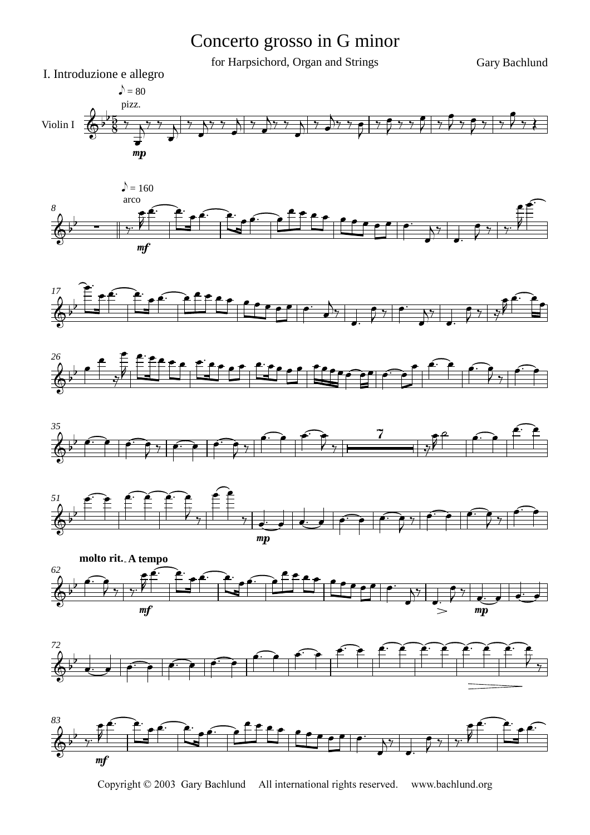## Concerto grosso in G minor

for Harpsichord, Organ and Strings Gary Bachlund



















Copyright © 2003 Gary Bachlund All international rights reserved. www.bachlund.org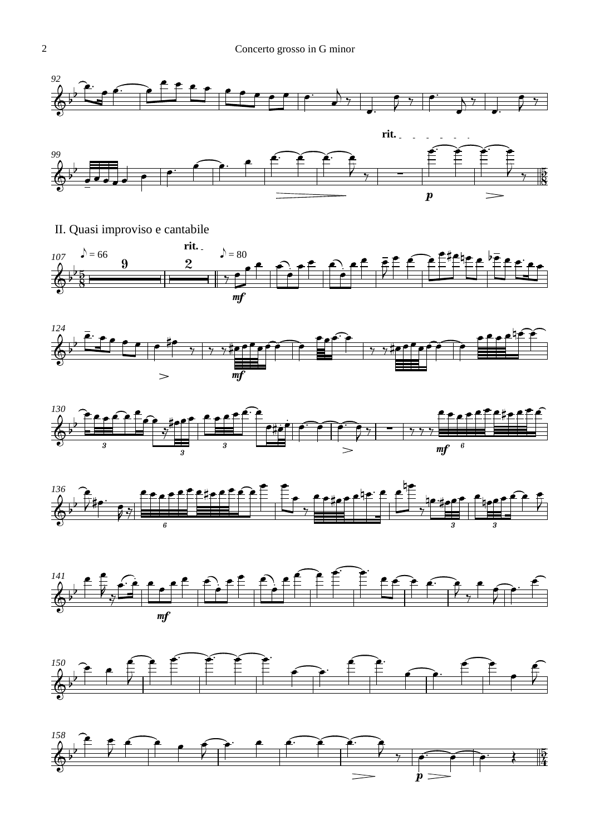

II. Quasi improviso e cantabile













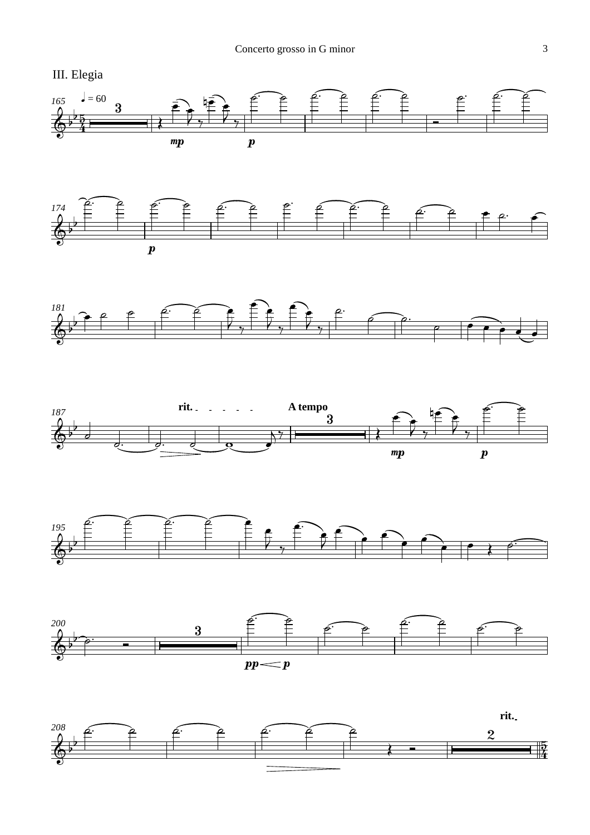













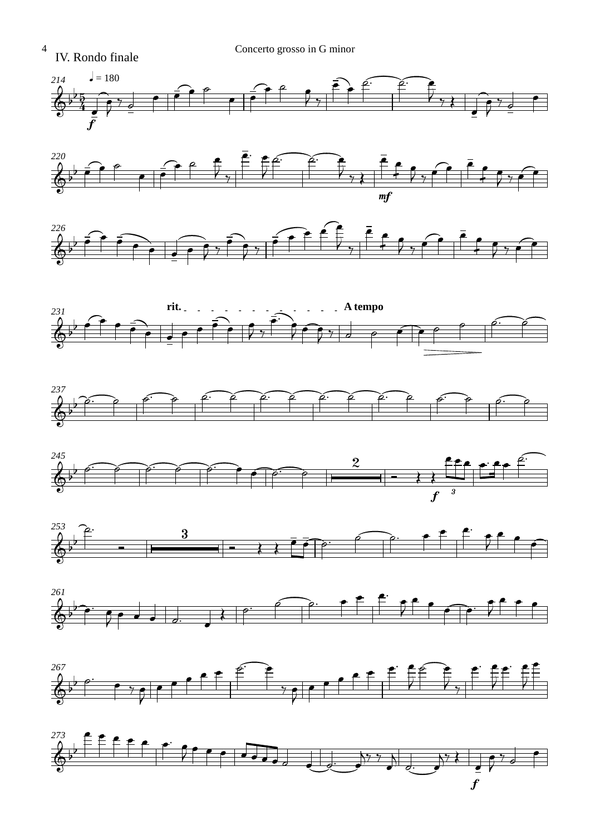